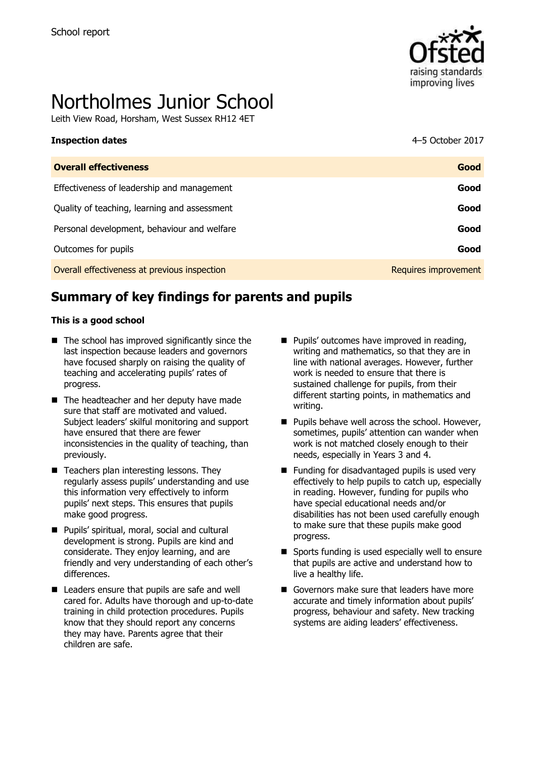

# Northolmes Junior School

Leith View Road, Horsham, West Sussex RH12 4ET

| <b>Inspection dates</b>                      | 4–5 October 2017 |
|----------------------------------------------|------------------|
| <b>Overall effectiveness</b>                 | Good             |
| Effectiveness of leadership and management   | Good             |
| Quality of teaching, learning and assessment | Good             |
| Personal development, behaviour and welfare  | Good             |
| Outcomes for pupils                          | Good             |

Overall effectiveness at previous inspection **Requires improvement** Requires improvement

# **Summary of key findings for parents and pupils**

#### **This is a good school**

- $\blacksquare$  The school has improved significantly since the last inspection because leaders and governors have focused sharply on raising the quality of teaching and accelerating pupils' rates of progress.
- The headteacher and her deputy have made sure that staff are motivated and valued. Subject leaders' skilful monitoring and support have ensured that there are fewer inconsistencies in the quality of teaching, than previously.
- Teachers plan interesting lessons. They regularly assess pupils' understanding and use this information very effectively to inform pupils' next steps. This ensures that pupils make good progress.
- **Pupils' spiritual, moral, social and cultural** development is strong. Pupils are kind and considerate. They enjoy learning, and are friendly and very understanding of each other's differences.
- Leaders ensure that pupils are safe and well cared for. Adults have thorough and up-to-date training in child protection procedures. Pupils know that they should report any concerns they may have. Parents agree that their children are safe.
- **Pupils' outcomes have improved in reading,** writing and mathematics, so that they are in line with national averages. However, further work is needed to ensure that there is sustained challenge for pupils, from their different starting points, in mathematics and writing.
- **Pupils behave well across the school. However,** sometimes, pupils' attention can wander when work is not matched closely enough to their needs, especially in Years 3 and 4.
- Funding for disadvantaged pupils is used very effectively to help pupils to catch up, especially in reading. However, funding for pupils who have special educational needs and/or disabilities has not been used carefully enough to make sure that these pupils make good progress.
- Sports funding is used especially well to ensure that pupils are active and understand how to live a healthy life.
- Governors make sure that leaders have more accurate and timely information about pupils' progress, behaviour and safety. New tracking systems are aiding leaders' effectiveness.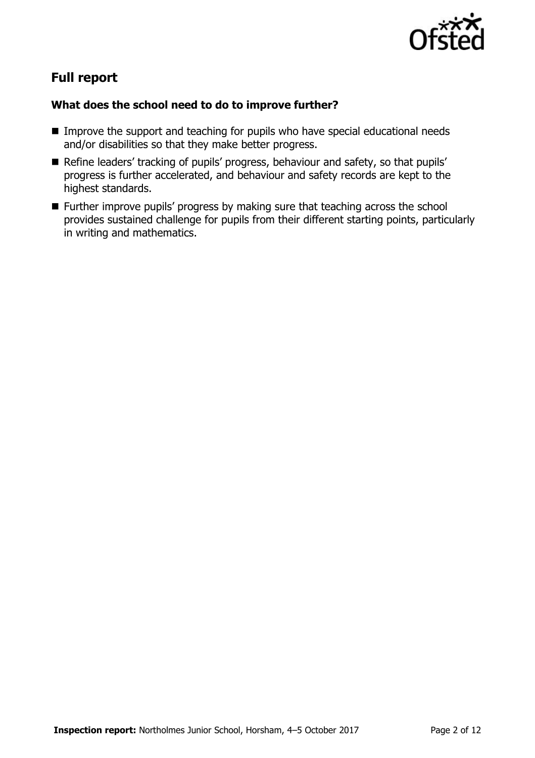

# **Full report**

### **What does the school need to do to improve further?**

- **IMPROVE the support and teaching for pupils who have special educational needs** and/or disabilities so that they make better progress.
- Refine leaders' tracking of pupils' progress, behaviour and safety, so that pupils' progress is further accelerated, and behaviour and safety records are kept to the highest standards.
- Further improve pupils' progress by making sure that teaching across the school provides sustained challenge for pupils from their different starting points, particularly in writing and mathematics.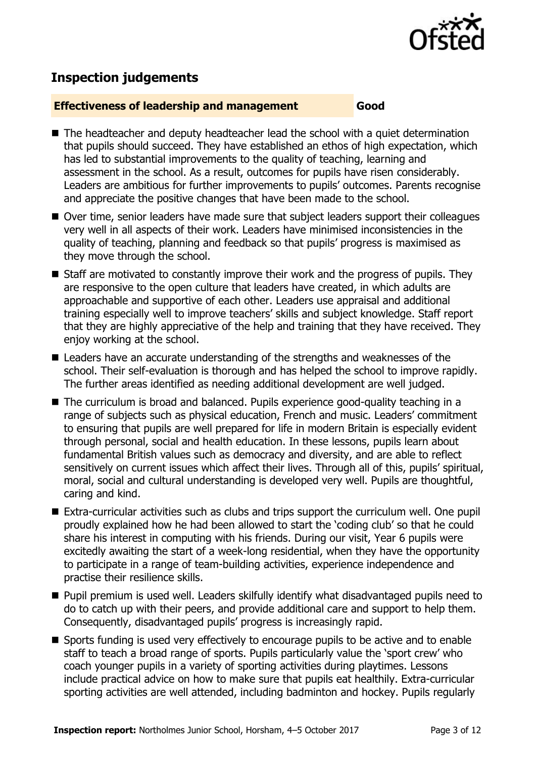

# **Inspection judgements**

#### **Effectiveness of leadership and management Good**

- The headteacher and deputy headteacher lead the school with a quiet determination that pupils should succeed. They have established an ethos of high expectation, which has led to substantial improvements to the quality of teaching, learning and assessment in the school. As a result, outcomes for pupils have risen considerably. Leaders are ambitious for further improvements to pupils' outcomes. Parents recognise and appreciate the positive changes that have been made to the school.
- Over time, senior leaders have made sure that subject leaders support their colleagues very well in all aspects of their work. Leaders have minimised inconsistencies in the quality of teaching, planning and feedback so that pupils' progress is maximised as they move through the school.
- Staff are motivated to constantly improve their work and the progress of pupils. They are responsive to the open culture that leaders have created, in which adults are approachable and supportive of each other. Leaders use appraisal and additional training especially well to improve teachers' skills and subject knowledge. Staff report that they are highly appreciative of the help and training that they have received. They enjoy working at the school.
- Leaders have an accurate understanding of the strengths and weaknesses of the school. Their self-evaluation is thorough and has helped the school to improve rapidly. The further areas identified as needing additional development are well judged.
- The curriculum is broad and balanced. Pupils experience good-quality teaching in a range of subjects such as physical education, French and music. Leaders' commitment to ensuring that pupils are well prepared for life in modern Britain is especially evident through personal, social and health education. In these lessons, pupils learn about fundamental British values such as democracy and diversity, and are able to reflect sensitively on current issues which affect their lives. Through all of this, pupils' spiritual, moral, social and cultural understanding is developed very well. Pupils are thoughtful, caring and kind.
- Extra-curricular activities such as clubs and trips support the curriculum well. One pupil proudly explained how he had been allowed to start the 'coding club' so that he could share his interest in computing with his friends. During our visit, Year 6 pupils were excitedly awaiting the start of a week-long residential, when they have the opportunity to participate in a range of team-building activities, experience independence and practise their resilience skills.
- **Pupil premium is used well. Leaders skilfully identify what disadvantaged pupils need to** do to catch up with their peers, and provide additional care and support to help them. Consequently, disadvantaged pupils' progress is increasingly rapid.
- Sports funding is used very effectively to encourage pupils to be active and to enable staff to teach a broad range of sports. Pupils particularly value the 'sport crew' who coach younger pupils in a variety of sporting activities during playtimes. Lessons include practical advice on how to make sure that pupils eat healthily. Extra-curricular sporting activities are well attended, including badminton and hockey. Pupils regularly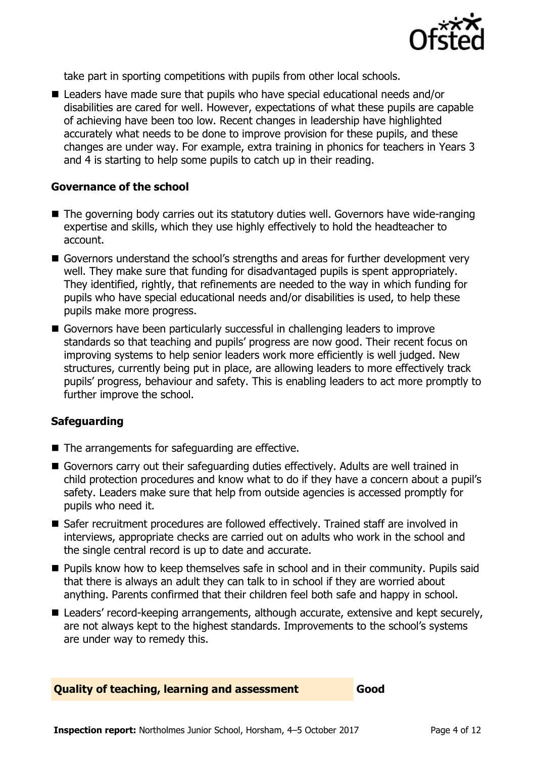

take part in sporting competitions with pupils from other local schools.

■ Leaders have made sure that pupils who have special educational needs and/or disabilities are cared for well. However, expectations of what these pupils are capable of achieving have been too low. Recent changes in leadership have highlighted accurately what needs to be done to improve provision for these pupils, and these changes are under way. For example, extra training in phonics for teachers in Years 3 and 4 is starting to help some pupils to catch up in their reading.

#### **Governance of the school**

- The governing body carries out its statutory duties well. Governors have wide-ranging expertise and skills, which they use highly effectively to hold the headteacher to account.
- Governors understand the school's strengths and areas for further development very well. They make sure that funding for disadvantaged pupils is spent appropriately. They identified, rightly, that refinements are needed to the way in which funding for pupils who have special educational needs and/or disabilities is used, to help these pupils make more progress.
- Governors have been particularly successful in challenging leaders to improve standards so that teaching and pupils' progress are now good. Their recent focus on improving systems to help senior leaders work more efficiently is well judged. New structures, currently being put in place, are allowing leaders to more effectively track pupils' progress, behaviour and safety. This is enabling leaders to act more promptly to further improve the school.

#### **Safeguarding**

- $\blacksquare$  The arrangements for safeguarding are effective.
- Governors carry out their safeguarding duties effectively. Adults are well trained in child protection procedures and know what to do if they have a concern about a pupil's safety. Leaders make sure that help from outside agencies is accessed promptly for pupils who need it.
- Safer recruitment procedures are followed effectively. Trained staff are involved in interviews, appropriate checks are carried out on adults who work in the school and the single central record is up to date and accurate.
- **Pupils know how to keep themselves safe in school and in their community. Pupils said** that there is always an adult they can talk to in school if they are worried about anything. Parents confirmed that their children feel both safe and happy in school.
- Leaders' record-keeping arrangements, although accurate, extensive and kept securely, are not always kept to the highest standards. Improvements to the school's systems are under way to remedy this.

#### **Quality of teaching, learning and assessment Good**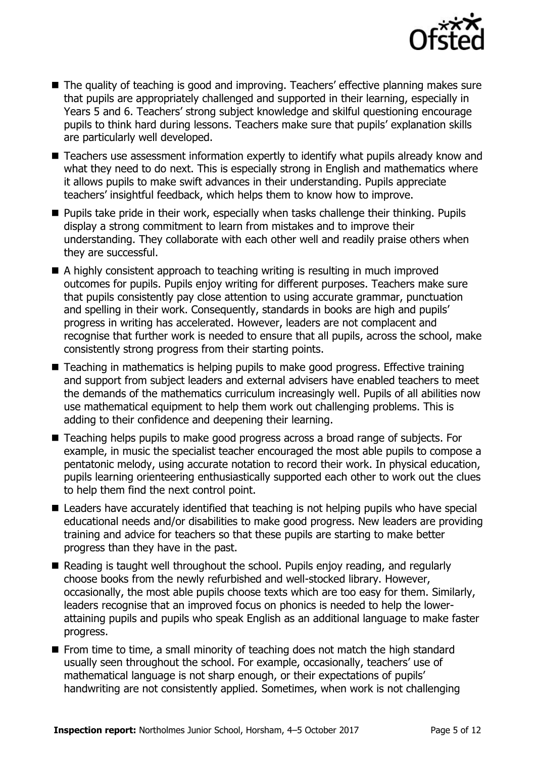

- The quality of teaching is good and improving. Teachers' effective planning makes sure that pupils are appropriately challenged and supported in their learning, especially in Years 5 and 6. Teachers' strong subject knowledge and skilful questioning encourage pupils to think hard during lessons. Teachers make sure that pupils' explanation skills are particularly well developed.
- Teachers use assessment information expertly to identify what pupils already know and what they need to do next. This is especially strong in English and mathematics where it allows pupils to make swift advances in their understanding. Pupils appreciate teachers' insightful feedback, which helps them to know how to improve.
- Pupils take pride in their work, especially when tasks challenge their thinking. Pupils display a strong commitment to learn from mistakes and to improve their understanding. They collaborate with each other well and readily praise others when they are successful.
- A highly consistent approach to teaching writing is resulting in much improved outcomes for pupils. Pupils enjoy writing for different purposes. Teachers make sure that pupils consistently pay close attention to using accurate grammar, punctuation and spelling in their work. Consequently, standards in books are high and pupils' progress in writing has accelerated. However, leaders are not complacent and recognise that further work is needed to ensure that all pupils, across the school, make consistently strong progress from their starting points.
- Teaching in mathematics is helping pupils to make good progress. Effective training and support from subject leaders and external advisers have enabled teachers to meet the demands of the mathematics curriculum increasingly well. Pupils of all abilities now use mathematical equipment to help them work out challenging problems. This is adding to their confidence and deepening their learning.
- Teaching helps pupils to make good progress across a broad range of subjects. For example, in music the specialist teacher encouraged the most able pupils to compose a pentatonic melody, using accurate notation to record their work. In physical education, pupils learning orienteering enthusiastically supported each other to work out the clues to help them find the next control point.
- Leaders have accurately identified that teaching is not helping pupils who have special educational needs and/or disabilities to make good progress. New leaders are providing training and advice for teachers so that these pupils are starting to make better progress than they have in the past.
- Reading is taught well throughout the school. Pupils enjoy reading, and regularly choose books from the newly refurbished and well-stocked library. However, occasionally, the most able pupils choose texts which are too easy for them. Similarly, leaders recognise that an improved focus on phonics is needed to help the lowerattaining pupils and pupils who speak English as an additional language to make faster progress.
- $\blacksquare$  From time to time, a small minority of teaching does not match the high standard usually seen throughout the school. For example, occasionally, teachers' use of mathematical language is not sharp enough, or their expectations of pupils' handwriting are not consistently applied. Sometimes, when work is not challenging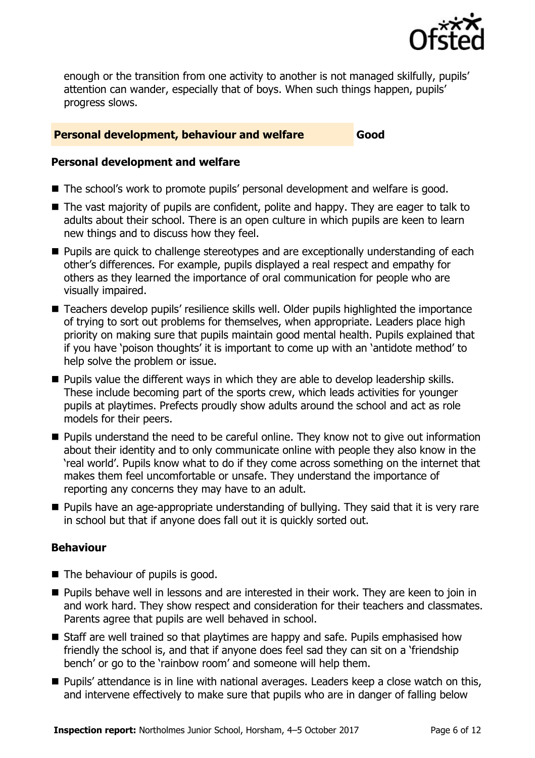

enough or the transition from one activity to another is not managed skilfully, pupils' attention can wander, especially that of boys. When such things happen, pupils' progress slows.

#### **Personal development, behaviour and welfare <b>Good**

#### **Personal development and welfare**

- The school's work to promote pupils' personal development and welfare is good.
- The vast majority of pupils are confident, polite and happy. They are eager to talk to adults about their school. There is an open culture in which pupils are keen to learn new things and to discuss how they feel.
- **Pupils are quick to challenge stereotypes and are exceptionally understanding of each** other's differences. For example, pupils displayed a real respect and empathy for others as they learned the importance of oral communication for people who are visually impaired.
- Teachers develop pupils' resilience skills well. Older pupils highlighted the importance of trying to sort out problems for themselves, when appropriate. Leaders place high priority on making sure that pupils maintain good mental health. Pupils explained that if you have 'poison thoughts' it is important to come up with an 'antidote method' to help solve the problem or issue.
- **Pupils value the different ways in which they are able to develop leadership skills.** These include becoming part of the sports crew, which leads activities for younger pupils at playtimes. Prefects proudly show adults around the school and act as role models for their peers.
- **Pupils understand the need to be careful online. They know not to give out information** about their identity and to only communicate online with people they also know in the 'real world'. Pupils know what to do if they come across something on the internet that makes them feel uncomfortable or unsafe. They understand the importance of reporting any concerns they may have to an adult.
- **Pupils have an age-appropriate understanding of bullying. They said that it is very rare** in school but that if anyone does fall out it is quickly sorted out.

#### **Behaviour**

- $\blacksquare$  The behaviour of pupils is good.
- **Pupils behave well in lessons and are interested in their work. They are keen to join in** and work hard. They show respect and consideration for their teachers and classmates. Parents agree that pupils are well behaved in school.
- Staff are well trained so that playtimes are happy and safe. Pupils emphasised how friendly the school is, and that if anyone does feel sad they can sit on a 'friendship bench' or go to the 'rainbow room' and someone will help them.
- **Pupils' attendance is in line with national averages. Leaders keep a close watch on this,** and intervene effectively to make sure that pupils who are in danger of falling below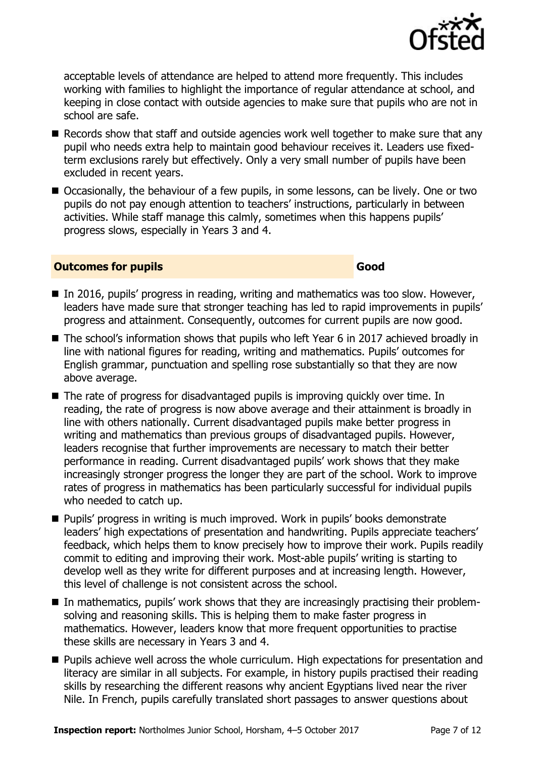

acceptable levels of attendance are helped to attend more frequently. This includes working with families to highlight the importance of regular attendance at school, and keeping in close contact with outside agencies to make sure that pupils who are not in school are safe.

- Records show that staff and outside agencies work well together to make sure that any pupil who needs extra help to maintain good behaviour receives it. Leaders use fixedterm exclusions rarely but effectively. Only a very small number of pupils have been excluded in recent years.
- Occasionally, the behaviour of a few pupils, in some lessons, can be lively. One or two pupils do not pay enough attention to teachers' instructions, particularly in between activities. While staff manage this calmly, sometimes when this happens pupils' progress slows, especially in Years 3 and 4.

#### **Outcomes for pupils Good**

- In 2016, pupils' progress in reading, writing and mathematics was too slow. However, leaders have made sure that stronger teaching has led to rapid improvements in pupils' progress and attainment. Consequently, outcomes for current pupils are now good.
- The school's information shows that pupils who left Year 6 in 2017 achieved broadly in line with national figures for reading, writing and mathematics. Pupils' outcomes for English grammar, punctuation and spelling rose substantially so that they are now above average.
- The rate of progress for disadvantaged pupils is improving quickly over time. In reading, the rate of progress is now above average and their attainment is broadly in line with others nationally. Current disadvantaged pupils make better progress in writing and mathematics than previous groups of disadvantaged pupils. However, leaders recognise that further improvements are necessary to match their better performance in reading. Current disadvantaged pupils' work shows that they make increasingly stronger progress the longer they are part of the school. Work to improve rates of progress in mathematics has been particularly successful for individual pupils who needed to catch up.
- Pupils' progress in writing is much improved. Work in pupils' books demonstrate leaders' high expectations of presentation and handwriting. Pupils appreciate teachers' feedback, which helps them to know precisely how to improve their work. Pupils readily commit to editing and improving their work. Most-able pupils' writing is starting to develop well as they write for different purposes and at increasing length. However, this level of challenge is not consistent across the school.
- In mathematics, pupils' work shows that they are increasingly practising their problemsolving and reasoning skills. This is helping them to make faster progress in mathematics. However, leaders know that more frequent opportunities to practise these skills are necessary in Years 3 and 4.
- **Pupils achieve well across the whole curriculum. High expectations for presentation and** literacy are similar in all subjects. For example, in history pupils practised their reading skills by researching the different reasons why ancient Egyptians lived near the river Nile. In French, pupils carefully translated short passages to answer questions about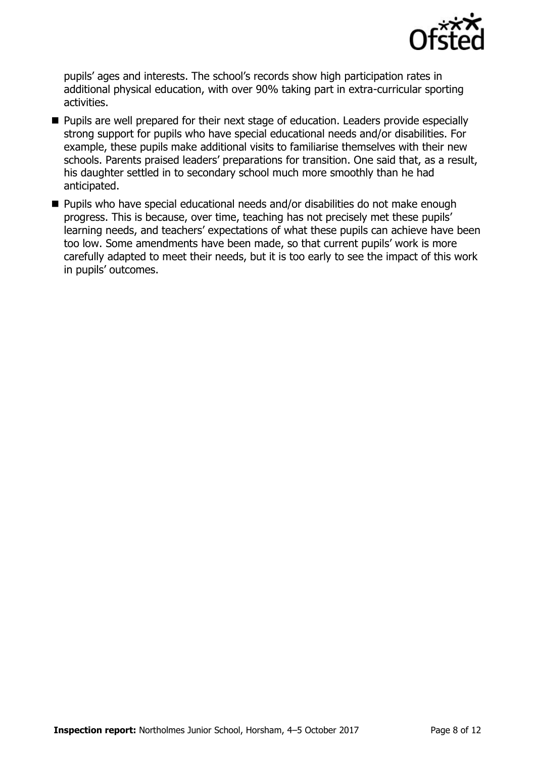

pupils' ages and interests. The school's records show high participation rates in additional physical education, with over 90% taking part in extra-curricular sporting activities.

- **Pupils are well prepared for their next stage of education. Leaders provide especially** strong support for pupils who have special educational needs and/or disabilities. For example, these pupils make additional visits to familiarise themselves with their new schools. Parents praised leaders' preparations for transition. One said that, as a result, his daughter settled in to secondary school much more smoothly than he had anticipated.
- Pupils who have special educational needs and/or disabilities do not make enough progress. This is because, over time, teaching has not precisely met these pupils' learning needs, and teachers' expectations of what these pupils can achieve have been too low. Some amendments have been made, so that current pupils' work is more carefully adapted to meet their needs, but it is too early to see the impact of this work in pupils' outcomes.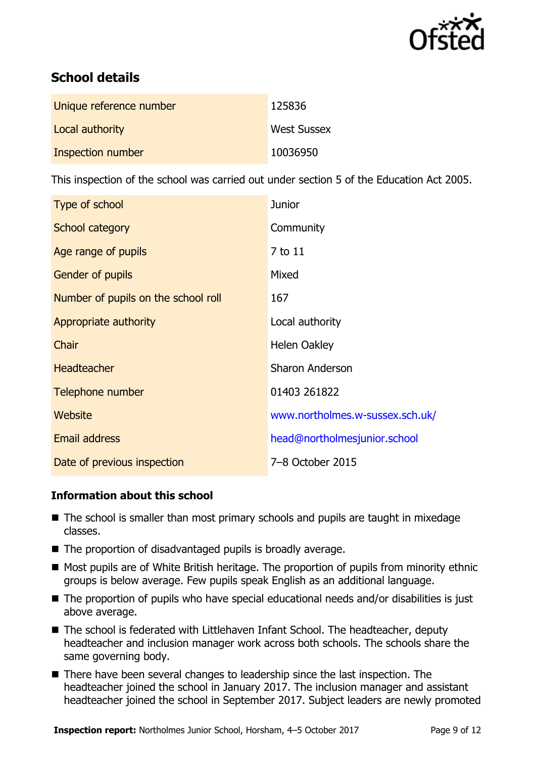

# **School details**

| Unique reference number | 125836             |
|-------------------------|--------------------|
| Local authority         | <b>West Sussex</b> |
| Inspection number       | 10036950           |

This inspection of the school was carried out under section 5 of the Education Act 2005.

| Type of school                      | <b>Junior</b>                   |
|-------------------------------------|---------------------------------|
| School category                     | Community                       |
| Age range of pupils                 | 7 to 11                         |
| <b>Gender of pupils</b>             | Mixed                           |
| Number of pupils on the school roll | 167                             |
| Appropriate authority               | Local authority                 |
| Chair                               | Helen Oakley                    |
| <b>Headteacher</b>                  | <b>Sharon Anderson</b>          |
| Telephone number                    | 01403 261822                    |
| Website                             | www.northolmes.w-sussex.sch.uk/ |
| <b>Email address</b>                | head@northolmesjunior.school    |
| Date of previous inspection         | 7-8 October 2015                |

#### **Information about this school**

- The school is smaller than most primary schools and pupils are taught in mixedage classes.
- The proportion of disadvantaged pupils is broadly average.
- Most pupils are of White British heritage. The proportion of pupils from minority ethnic groups is below average. Few pupils speak English as an additional language.
- The proportion of pupils who have special educational needs and/or disabilities is just above average.
- The school is federated with Littlehaven Infant School. The headteacher, deputy headteacher and inclusion manager work across both schools. The schools share the same governing body.
- There have been several changes to leadership since the last inspection. The headteacher joined the school in January 2017. The inclusion manager and assistant headteacher joined the school in September 2017. Subject leaders are newly promoted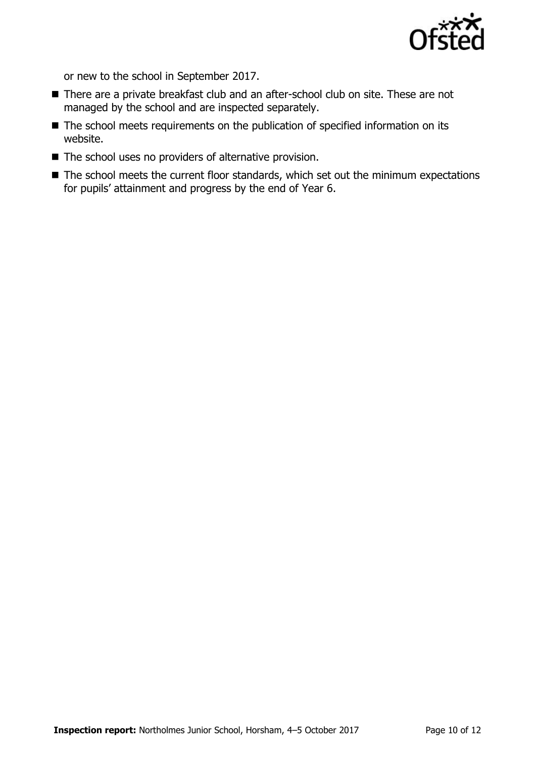

or new to the school in September 2017.

- There are a private breakfast club and an after-school club on site. These are not managed by the school and are inspected separately.
- The school meets requirements on the publication of specified information on its website.
- $\blacksquare$  The school uses no providers of alternative provision.
- The school meets the current floor standards, which set out the minimum expectations for pupils' attainment and progress by the end of Year 6.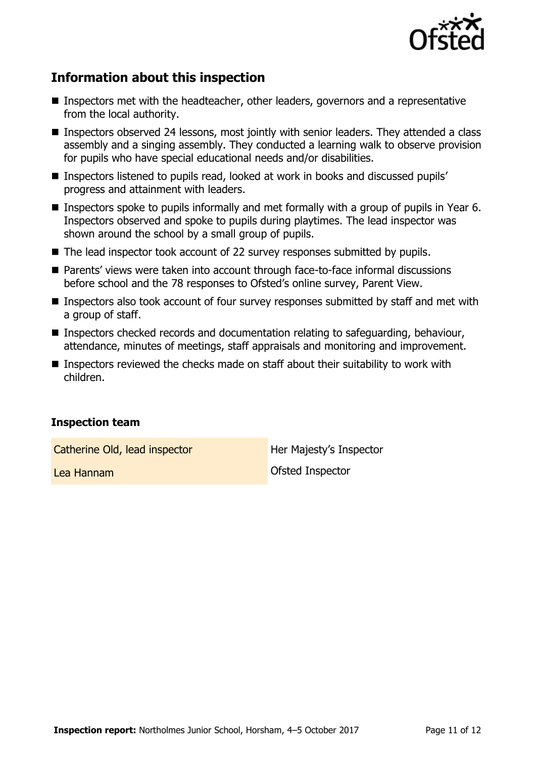

# **Information about this inspection**

- Inspectors met with the headteacher, other leaders, governors and a representative from the local authority.
- **Inspectors observed 24 lessons, most jointly with senior leaders. They attended a class** assembly and a singing assembly. They conducted a learning walk to observe provision for pupils who have special educational needs and/or disabilities.
- Inspectors listened to pupils read, looked at work in books and discussed pupils' progress and attainment with leaders.
- Inspectors spoke to pupils informally and met formally with a group of pupils in Year 6. Inspectors observed and spoke to pupils during playtimes. The lead inspector was shown around the school by a small group of pupils.
- The lead inspector took account of 22 survey responses submitted by pupils.
- Parents' views were taken into account through face-to-face informal discussions before school and the 78 responses to Ofsted's online survey, Parent View.
- Inspectors also took account of four survey responses submitted by staff and met with a group of staff.
- Inspectors checked records and documentation relating to safeguarding, behaviour, attendance, minutes of meetings, staff appraisals and monitoring and improvement.
- Inspectors reviewed the checks made on staff about their suitability to work with children.

#### **Inspection team**

Catherine Old, lead inspector **Her Majesty's Inspector** 

Lea Hannam Ofsted Inspector